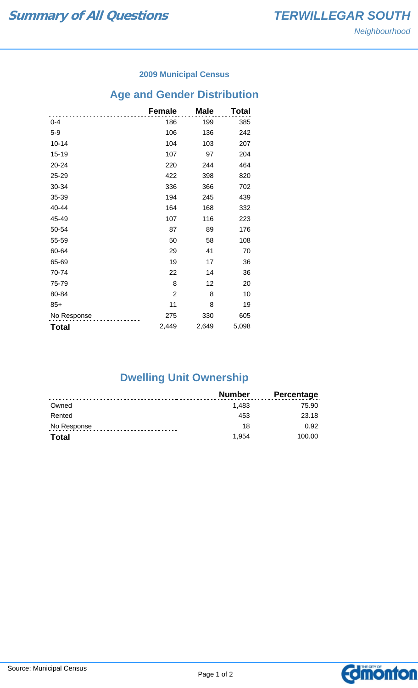### **2009 Municipal Census**

## **Age and Gender Distribution**

|              | <b>Female</b>  | <b>Male</b> | Total |
|--------------|----------------|-------------|-------|
| $0 - 4$      | 186            | 199         | 385   |
| $5-9$        | 106            | 136         | 242   |
| $10 - 14$    | 104            | 103         | 207   |
| 15-19        | 107            | 97          | 204   |
| 20-24        | 220            | 244         | 464   |
| 25-29        | 422            | 398         | 820   |
| 30-34        | 336            | 366         | 702   |
| 35-39        | 194            | 245         | 439   |
| 40-44        | 164            | 168         | 332   |
| 45-49        | 107            | 116         | 223   |
| 50-54        | 87             | 89          | 176   |
| 55-59        | 50             | 58          | 108   |
| 60-64        | 29             | 41          | 70    |
| 65-69        | 19             | 17          | 36    |
| 70-74        | 22             | 14          | 36    |
| 75-79        | 8              | 12          | 20    |
| 80-84        | $\overline{c}$ | 8           | 10    |
| $85+$        | 11             | 8           | 19    |
| No Response  | 275            | 330         | 605   |
| <b>Total</b> | 2,449          | 2,649       | 5,098 |

# **Dwelling Unit Ownership**

|              | Number | <b>Percentage</b> |
|--------------|--------|-------------------|
| Owned        | 1.483  | 75.90             |
| Rented       | 453    | 23.18             |
| No Response  | 18     | 0.92              |
| <b>Total</b> | 1.954  | 100.00            |